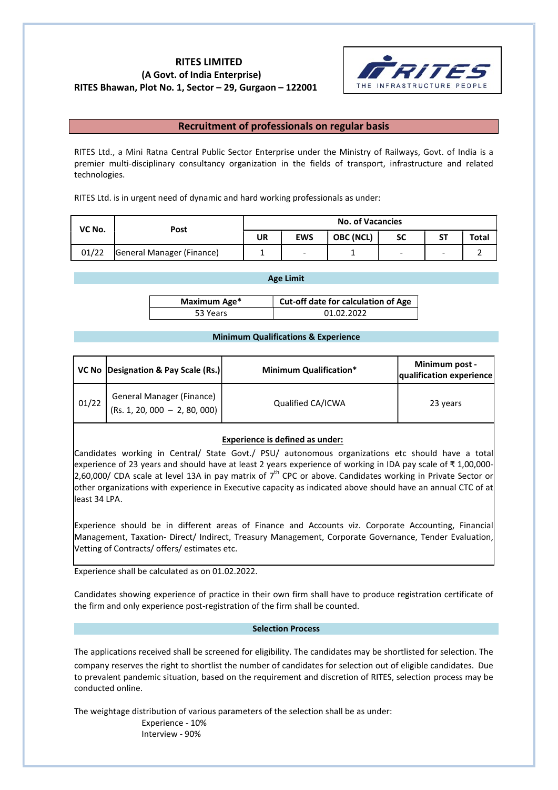# RITES LIMITED (A Govt. of India Enterprise) RITES Bhawan, Plot No. 1, Sector – 29, Gurgaon – 122001



## Recruitment of professionals on regular basis

RITES Ltd., a Mini Ratna Central Public Sector Enterprise under the Ministry of Railways, Govt. of India is a premier multi-disciplinary consultancy organization in the fields of transport, infrastructure and related technologies.

RITES Ltd. is in urgent need of dynamic and hard working professionals as under:

| VC No. | Post                      | <b>No. of Vacancies</b> |            |           |    |           |       |
|--------|---------------------------|-------------------------|------------|-----------|----|-----------|-------|
|        |                           | UR                      | <b>EWS</b> | OBC (NCL) | SC | <b>ST</b> | Total |
| 01/22  | General Manager (Finance) |                         | -          |           | -  | -         |       |

#### Age Limit

| Maximum Age* | Cut-off date for calculation of Age |  |
|--------------|-------------------------------------|--|
| 53 Years     | 01.02.2022                          |  |

#### Minimum Qualifications & Experience

|       | VC No Designation & Pay Scale (Rs.)                        | <b>Minimum Qualification*</b> | Minimum post -<br>qualification experience |
|-------|------------------------------------------------------------|-------------------------------|--------------------------------------------|
| 01/22 | General Manager (Finance)<br>(Rs. 1, 20, 000 - 2, 80, 000) | Qualified CA/ICWA             | 23 years                                   |

### Experience is defined as under:

Candidates working in Central/ State Govt./ PSU/ autonomous organizations etc should have a total experience of 23 years and should have at least 2 years experience of working in IDA pay scale of ₹ 1,00,000- 2,60,000/ CDA scale at level 13A in pay matrix of  $7<sup>th</sup>$  CPC or above. Candidates working in Private Sector or other organizations with experience in Executive capacity as indicated above should have an annual CTC of at least 34 LPA.

Experience should be in different areas of Finance and Accounts viz. Corporate Accounting, Financial Management, Taxation- Direct/ Indirect, Treasury Management, Corporate Governance, Tender Evaluation, Vetting of Contracts/ offers/ estimates etc.

Experience shall be calculated as on 01.02.2022.

Candidates showing experience of practice in their own firm shall have to produce registration certificate of the firm and only experience post-registration of the firm shall be counted.

#### Selection Process

The applications received shall be screened for eligibility. The candidates may be shortlisted for selection. The company reserves the right to shortlist the number of candidates for selection out of eligible candidates. Due to prevalent pandemic situation, based on the requirement and discretion of RITES, selection process may be conducted online.

The weightage distribution of various parameters of the selection shall be as under:

Experience - 10% Interview - 90%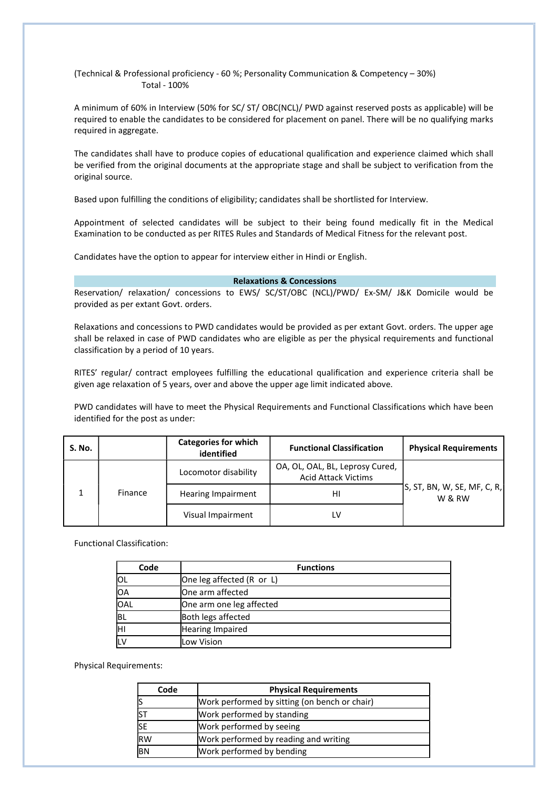(Technical & Professional proficiency - 60 %; Personality Communication & Competency – 30%) Total - 100%

A minimum of 60% in Interview (50% for SC/ ST/ OBC(NCL)/ PWD against reserved posts as applicable) will be required to enable the candidates to be considered for placement on panel. There will be no qualifying marks required in aggregate.

The candidates shall have to produce copies of educational qualification and experience claimed which shall be verified from the original documents at the appropriate stage and shall be subject to verification from the original source.

Based upon fulfilling the conditions of eligibility; candidates shall be shortlisted for Interview.

Appointment of selected candidates will be subject to their being found medically fit in the Medical Examination to be conducted as per RITES Rules and Standards of Medical Fitness for the relevant post.

Candidates have the option to appear for interview either in Hindi or English.

## Relaxations & Concessions

Reservation/ relaxation/ concessions to EWS/ SC/ST/OBC (NCL)/PWD/ Ex-SM/ J&K Domicile would be provided as per extant Govt. orders.

Relaxations and concessions to PWD candidates would be provided as per extant Govt. orders. The upper age shall be relaxed in case of PWD candidates who are eligible as per the physical requirements and functional classification by a period of 10 years.

RITES' regular/ contract employees fulfilling the educational qualification and experience criteria shall be given age relaxation of 5 years, over and above the upper age limit indicated above.

PWD candidates will have to meet the Physical Requirements and Functional Classifications which have been identified for the post as under:

| <b>S. No.</b> |         | <b>Categories for which</b><br>identified | <b>Functional Classification</b>                              | <b>Physical Requirements</b>          |
|---------------|---------|-------------------------------------------|---------------------------------------------------------------|---------------------------------------|
|               | Finance | Locomotor disability                      | OA, OL, OAL, BL, Leprosy Cured,<br><b>Acid Attack Victims</b> |                                       |
|               |         | Hearing Impairment                        | нı                                                            | S, ST, BN, W, SE, MF, C, R,<br>W & RW |
|               |         | Visual Impairment                         | LV                                                            |                                       |

Functional Classification:

| Code      | <b>Functions</b>          |
|-----------|---------------------------|
| IOL       | One leg affected (R or L) |
| lОА       | One arm affected          |
| OAL       | One arm one leg affected  |
| <b>BL</b> | Both legs affected        |
| lнı       | Hearing Impaired          |
|           | Low Vision                |

Physical Requirements:

| Code       | <b>Physical Requirements</b>                  |
|------------|-----------------------------------------------|
| 1s         | Work performed by sitting (on bench or chair) |
| <b>IST</b> | Work performed by standing                    |
| <b>SE</b>  | Work performed by seeing                      |
| <b>RW</b>  | Work performed by reading and writing         |
| <b>BN</b>  | Work performed by bending                     |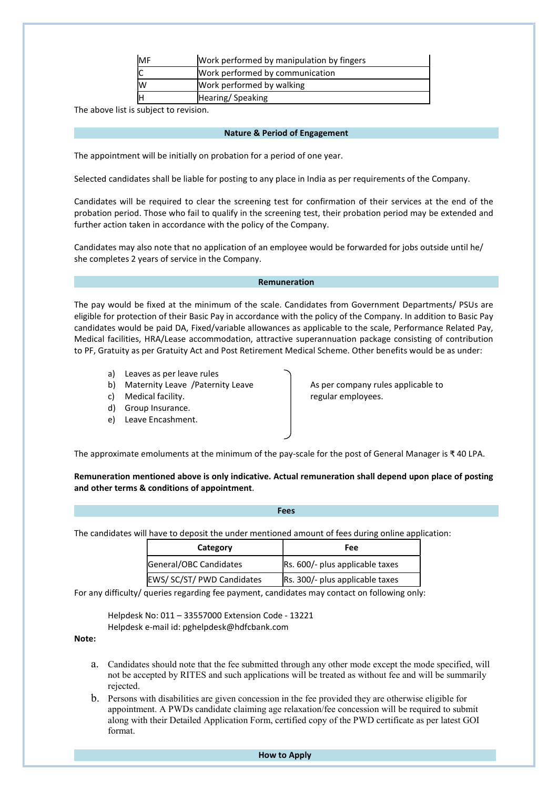| MF | Work performed by manipulation by fingers |
|----|-------------------------------------------|
|    | Work performed by communication           |
| lW | Work performed by walking                 |
|    | Hearing/Speaking                          |

The above list is subject to revision.

#### Nature & Period of Engagement

The appointment will be initially on probation for a period of one year.

Selected candidates shall be liable for posting to any place in India as per requirements of the Company.

Candidates will be required to clear the screening test for confirmation of their services at the end of the probation period. Those who fail to qualify in the screening test, their probation period may be extended and further action taken in accordance with the policy of the Company.

Candidates may also note that no application of an employee would be forwarded for jobs outside until he/ she completes 2 years of service in the Company.

#### Remuneration

The pay would be fixed at the minimum of the scale. Candidates from Government Departments/ PSUs are eligible for protection of their Basic Pay in accordance with the policy of the Company. In addition to Basic Pay candidates would be paid DA, Fixed/variable allowances as applicable to the scale, Performance Related Pay, Medical facilities, HRA/Lease accommodation, attractive superannuation package consisting of contribution to PF, Gratuity as per Gratuity Act and Post Retirement Medical Scheme. Other benefits would be as under:

- a) Leaves as per leave rules
- b) Maternity Leave /Paternity Leave As per company rules applicable to
- c) Medical facility. The state of the second version of the regular employees.
- d) Group Insurance.
- e) Leave Encashment.

The approximate emoluments at the minimum of the pay-scale for the post of General Manager is ₹ 40 LPA.

Remuneration mentioned above is only indicative. Actual remuneration shall depend upon place of posting and other terms & conditions of appointment.

|--|--|

The candidates will have to deposit the under mentioned amount of fees during online application:

| Category                   | Fee                             |  |
|----------------------------|---------------------------------|--|
| General/OBC Candidates     | Rs. 600/- plus applicable taxes |  |
| EWS/ SC/ST/ PWD Candidates | Rs. 300/- plus applicable taxes |  |

For any difficulty/ queries regarding fee payment, candidates may contact on following only:

Helpdesk No: 011 – 33557000 Extension Code - 13221 Helpdesk e-mail id: pghelpdesk@hdfcbank.com

Note:

- a. Candidates should note that the fee submitted through any other mode except the mode specified, will not be accepted by RITES and such applications will be treated as without fee and will be summarily rejected.
- b. Persons with disabilities are given concession in the fee provided they are otherwise eligible for appointment. A PWDs candidate claiming age relaxation/fee concession will be required to submit along with their Detailed Application Form, certified copy of the PWD certificate as per latest GOI format.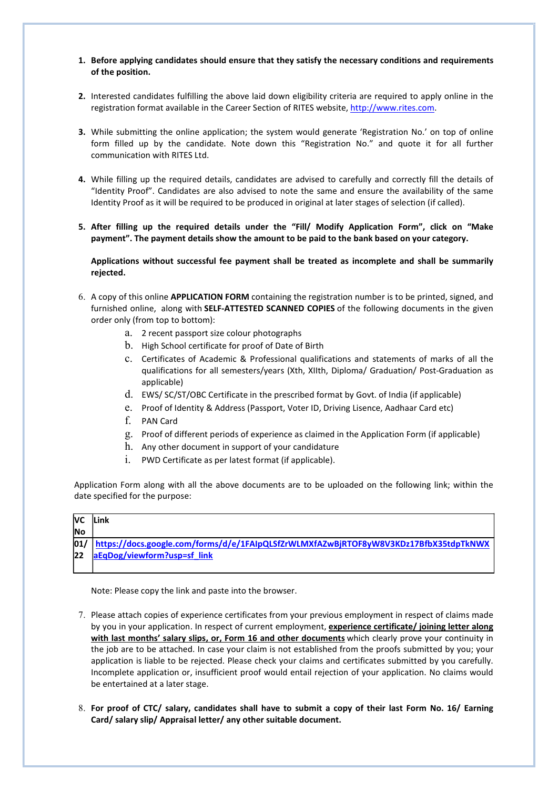- 1. Before applying candidates should ensure that they satisfy the necessary conditions and requirements of the position.
- 2. Interested candidates fulfilling the above laid down eligibility criteria are required to apply online in the registration format available in the Career Section of RITES website, http://www.rites.com.
- 3. While submitting the online application; the system would generate 'Registration No.' on top of online form filled up by the candidate. Note down this "Registration No." and quote it for all further communication with RITES Ltd.
- 4. While filling up the required details, candidates are advised to carefully and correctly fill the details of "Identity Proof". Candidates are also advised to note the same and ensure the availability of the same Identity Proof as it will be required to be produced in original at later stages of selection (if called).
- 5. After filling up the required details under the "Fill/ Modify Application Form", click on "Make payment". The payment details show the amount to be paid to the bank based on your category.

Applications without successful fee payment shall be treated as incomplete and shall be summarily rejected.

- 6. A copy of this online APPLICATION FORM containing the registration number is to be printed, signed, and furnished online, along with SELF-ATTESTED SCANNED COPIES of the following documents in the given order only (from top to bottom):
	- a. 2 recent passport size colour photographs
	- b. High School certificate for proof of Date of Birth
	- c. Certificates of Academic & Professional qualifications and statements of marks of all the qualifications for all semesters/years (Xth, XIIth, Diploma/ Graduation/ Post-Graduation as applicable)
	- d. EWS/ SC/ST/OBC Certificate in the prescribed format by Govt. of India (if applicable)
	- e. Proof of Identity & Address (Passport, Voter ID, Driving Lisence, Aadhaar Card etc)
	- f. PAN Card
	- g. Proof of different periods of experience as claimed in the Application Form (if applicable)
	- h. Any other document in support of your candidature
	- i. PWD Certificate as per latest format (if applicable).

Application Form along with all the above documents are to be uploaded on the following link; within the date specified for the purpose:

| lvc       | <b>ILink</b>                                                                             |
|-----------|------------------------------------------------------------------------------------------|
| No        |                                                                                          |
|           | 01/ https://docs.google.com/forms/d/e/1FAIpQLSfZrWLMXfAZwBjRTOF8yW8V3KDz17BfbX35tdpTkNWX |
| <b>22</b> | aEqDog/viewform?usp=sf_link                                                              |
|           |                                                                                          |

Note: Please copy the link and paste into the browser.

- 7. Please attach copies of experience certificates from your previous employment in respect of claims made by you in your application. In respect of current employment, experience certificate/ joining letter along with last months' salary slips, or, Form 16 and other documents which clearly prove your continuity in the job are to be attached. In case your claim is not established from the proofs submitted by you; your application is liable to be rejected. Please check your claims and certificates submitted by you carefully. Incomplete application or, insufficient proof would entail rejection of your application. No claims would be entertained at a later stage.
- 8. For proof of CTC/ salary, candidates shall have to submit a copy of their last Form No. 16/ Earning Card/ salary slip/ Appraisal letter/ any other suitable document.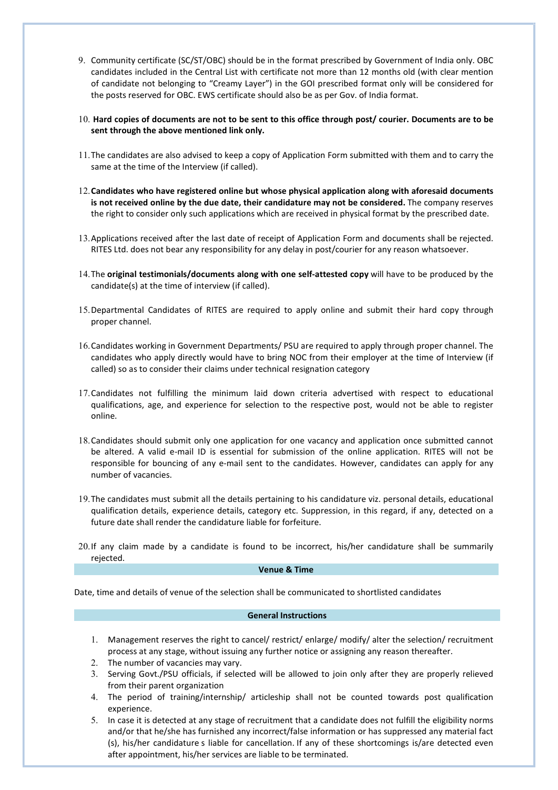- 9. Community certificate (SC/ST/OBC) should be in the format prescribed by Government of India only. OBC candidates included in the Central List with certificate not more than 12 months old (with clear mention of candidate not belonging to "Creamy Layer") in the GOI prescribed format only will be considered for the posts reserved for OBC. EWS certificate should also be as per Gov. of India format.
- 10. Hard copies of documents are not to be sent to this office through post/ courier. Documents are to be sent through the above mentioned link only.
- 11.The candidates are also advised to keep a copy of Application Form submitted with them and to carry the same at the time of the Interview (if called).
- 12.Candidates who have registered online but whose physical application along with aforesaid documents is not received online by the due date, their candidature may not be considered. The company reserves the right to consider only such applications which are received in physical format by the prescribed date.
- 13.Applications received after the last date of receipt of Application Form and documents shall be rejected. RITES Ltd. does not bear any responsibility for any delay in post/courier for any reason whatsoever.
- 14. The original testimonials/documents along with one self-attested copy will have to be produced by the candidate(s) at the time of interview (if called).
- 15.Departmental Candidates of RITES are required to apply online and submit their hard copy through proper channel.
- 16.Candidates working in Government Departments/ PSU are required to apply through proper channel. The candidates who apply directly would have to bring NOC from their employer at the time of Interview (if called) so as to consider their claims under technical resignation category
- 17.Candidates not fulfilling the minimum laid down criteria advertised with respect to educational qualifications, age, and experience for selection to the respective post, would not be able to register online.
- 18.Candidates should submit only one application for one vacancy and application once submitted cannot be altered. A valid e-mail ID is essential for submission of the online application. RITES will not be responsible for bouncing of any e-mail sent to the candidates. However, candidates can apply for any number of vacancies.
- 19.The candidates must submit all the details pertaining to his candidature viz. personal details, educational qualification details, experience details, category etc. Suppression, in this regard, if any, detected on a future date shall render the candidature liable for forfeiture.
- 20.If any claim made by a candidate is found to be incorrect, his/her candidature shall be summarily rejected.

#### Venue & Time

Date, time and details of venue of the selection shall be communicated to shortlisted candidates

#### General Instructions

- 1. Management reserves the right to cancel/ restrict/ enlarge/ modify/ alter the selection/ recruitment process at any stage, without issuing any further notice or assigning any reason thereafter.
- 2. The number of vacancies may vary.
- 3. Serving Govt./PSU officials, if selected will be allowed to join only after they are properly relieved from their parent organization
- 4. The period of training/internship/ articleship shall not be counted towards post qualification experience.
- 5. In case it is detected at any stage of recruitment that a candidate does not fulfill the eligibility norms and/or that he/she has furnished any incorrect/false information or has suppressed any material fact (s), his/her candidature s liable for cancellation. If any of these shortcomings is/are detected even after appointment, his/her services are liable to be terminated.